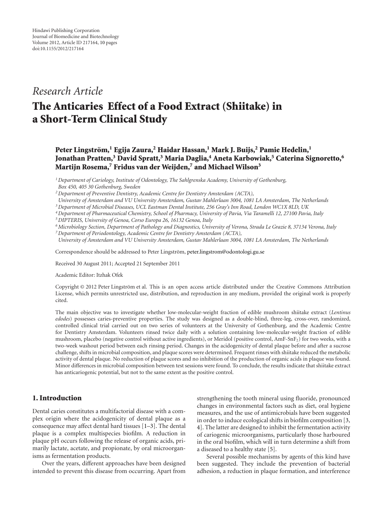# *Research Article*

# **The Anticaries Effect of a Food Extract (Shiitake) in a Short-Term Clinical Study**

**Peter Lingstrom, ¨ <sup>1</sup> Egija Zaura,2 Haidar Hassan,1 Mark J. Buijs,2 Pamie Hedelin,1 Jonathan Pratten,3 David Spratt,3 Maria Daglia,4 Aneta Karbowiak,5 Caterina Signoretto,6 Martijn Rosema,7 Fridus van der Weijden,7 and Michael Wilson3**

*1Department of Cariology, Institute of Odontology, The Sahlgrenska Academy, University of Gothenburg, Box 450, 405 30 Gothenburg, Sweden*

*2Department of Preventive Dentistry, Academic Centre for Dentistry Amsterdam (ACTA),*

*University of Amsterdam and VU University Amsterdam, Gustav Mahlerlaan 3004, 1081 LA Amsterdam, The Netherlands*

*3Department of Microbial Diseases, UCL Eastman Dental Institute, 256 Gray's Inn Road, London WC1X 8LD, UK*

- *4Department of Pharmaceutical Chemistry, School of Pharmacy, University of Pavia, Via Taramelli 12, 27100 Pavia, Italy*
- *5DIPTERIS, University of Genoa, Corso Europa 26, 16132 Genoa, Italy*
- *6Microbiology Section, Department of Pathology and Diagnostics, University of Verona, Strada Le Grazie 8, 37134 Verona, Italy 7Department of Periodontology, Academic Centre for Dentistry Amsterdam (ACTA),*

*University of Amsterdam and VU University Amsterdam, Gustav Mahlerlaan 3004, 1081 LA Amsterdam, The Netherlands*

Correspondence should be addressed to Peter Lingström, [peter.lingstrom@odontologi.gu.se](mailto:peter.lingstrom@odontologi.gu.se)

Received 30 August 2011; Accepted 21 September 2011

Academic Editor: Itzhak Ofek

Copyright © 2012 Peter Lingström et al. This is an open access article distributed under the Creative Commons Attribution License, which permits unrestricted use, distribution, and reproduction in any medium, provided the original work is properly cited.

The main objective was to investigate whether low-molecular-weight fraction of edible mushroom shiitake extract (*Lentinus edodes*) possesses caries-preventive properties. The study was designed as a double-blind, three-leg, cross-over, randomized, controlled clinical trial carried out on two series of volunteers at the University of Gothenburg, and the Academic Centre for Dentistry Amsterdam. Volunteers rinsed twice daily with a solution containing low-molecular-weight fraction of edible mushroom, placebo (negative control without active ingredients), or Meridol (positive control, AmF-SnF2) for two weeks, with a two-week washout period between each rinsing period. Changes in the acidogenicity of dental plaque before and after a sucrose challenge, shifts in microbial composition, and plaque scores were determined. Frequent rinses with shiitake reduced the metabolic activity of dental plaque. No reduction of plaque scores and no inhibition of the production of organic acids in plaque was found. Minor differences in microbial composition between test sessions were found. To conclude, the results indicate that shiitake extract has anticariogenic potential, but not to the same extent as the positive control.

## **1. Introduction**

Dental caries constitutes a multifactorial disease with a complex origin where the acidogenicity of dental plaque as a consequence may affect dental hard tissues [\[1](#page-7-1)[–3](#page-8-0)]. The dental plaque is a complex multispecies biofilm. A reduction in plaque pH occurs following the release of organic acids, primarily lactate, acetate, and propionate, by oral microorganisms as fermentation products.

Over the years, different approaches have been designed intended to prevent this disease from occurring. Apart from

strengthening the tooth mineral using fluoride, pronounced changes in environmental factors such as diet, oral hygiene measures, and the use of antimicrobials have been suggested in order to induce ecological shifts in biofilm composition [\[3](#page-8-0), [4](#page-8-1)]. The latter are designed to inhibit the fermentation activity of cariogenic microorganisms, particularly those harboured in the oral biofilm, which will in turn determine a shift from a diseased to a healthy state [\[5\]](#page-8-2).

Several possible mechanisms by agents of this kind have been suggested. They include the prevention of bacterial adhesion, a reduction in plaque formation, and interference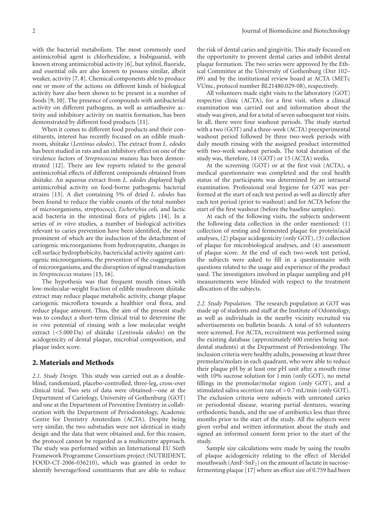with the bacterial metabolism. The most commonly used antimicrobial agent is chlorhexidine, a bisbiguanid, with known strong antimicrobial activity [\[6\]](#page-8-3), but xylitol, fluoride, and essential oils are also known to possess similar, albeit weaker, activity [\[7,](#page-8-4) [8\]](#page-8-5). Chemical components able to produce one or more of the actions on different kinds of biological activity have also been shown to be present in a number of foods [\[9,](#page-8-6) [10\]](#page-8-7). The presence of compounds with antibacterial activity on different pathogens, as well as antiadhesive activity and inhibitory activity on matrix formation, has been demonstrated by different food products [\[11](#page-8-8)].

When it comes to different food products and their constituents, interest has recently focused on an edible mushroom, shiitake (*Lentinus edodes*). The extract from *L. edodes* has been studied in rats and an inhibitory effect on one of the virulence factors of *Streptococcus mutans* has been demonstrated [\[12\]](#page-8-9). There are few reports related to the general antimicrobial effects of different compounds obtained from shiitake. An aqueous extract from *L. edodes* displayed high antimicrobial activity on food-borne pathogenic bacterial strains [\[13\]](#page-8-10). A diet containing 5% of dried *L. edodes* has been found to reduce the viable counts of the total number of microorganisms, streptococci, *Escherichia coli,* and lactic acid bacteria in the intestinal flora of piglets [\[14\]](#page-8-11). In a series of *in vitro* studies, a number of biological activities relevant to caries prevention have been identified, the most prominent of which are the induction of the detachment of cariogenic microorganisms from hydroxyapatite, changes in cell surface hydrophobicity, bactericidal activity against cariogenic microorganisms, the prevention of the coaggregation of microorganisms, and the disruption of signal transduction in *Streptococcus mutans* [\[15](#page-8-12), [16](#page-8-13)].

The hypothesis was that frequent mouth rinses with low-molecular-weight fraction of edible mushroom shiitake extract may reduce plaque metabolic activity, change plaque cariogenic microflora towards a healthier oral flora, and reduce plaque amount. Thus, the aim of the present study was to conduct a short-term clinical trial to determine the *in vivo* potential of rinsing with a low molecular weight extract (*<*5.000 Da) of shiitake (*Lentinula edodes*) on the acidogenicity of dental plaque, microbial composition, and plaque index score.

#### **2. Materials and Methods**

*2.1. Study Design.* This study was carried out as a doubleblind, randomized, placebo-controlled, three-leg, cross-over clinical trial. Two sets of data were obtained—one at the Department of Cariology, University of Gothenburg (GOT) and one at the Department of Preventive Dentistry in collaboration with the Department of Periodontology, Academic Centre for Dentistry Amsterdam (ACTA). Despite being very similar, the two substudies were not identical in study design and the data that were obtained and, for this reason, the protocol cannot be regarded as a multicentre approach. The study was performed within an International EU Sixth Framework Programme Consortium project (NUTRIDENT, FOOD-CT-2006-036210), which was granted in order to identify beverage/food constituents that are able to reduce

the risk of dental caries and gingivitis. This study focused on the opportunity to prevent dental caries and inhibit dental plaque formation. The two series were approved by the Ethical Committee at the University of Gothenburg (Dnr 102– 09) and by the institutional review board at ACTA (METc VUmc, protocol number BL21480.029-08), respectively.

All volunteers made eight visits to the laboratory (GOT) respective clinic (ACTA), for a first visit, when a clinical examination was carried out and information about the study was given, and for a total of seven subsequent test visits. In all, there were four washout periods. The study started with a two (GOT) and a three-week (ACTA) preexperimental washout period followed by three two-week periods with daily mouth rinsing with the assigned product intermitted with two-week washout periods. The total duration of the study was, therefore, 14 (GOT) or 15 (ACTA) weeks.

At the screening (GOT) or at the first visit (ACTA), a medical questionnaire was completed and the oral health status of the participants was determined by an intraoral examination. Professional oral hygiene for GOT was performed at the start of each test period as well as directly after each test period (prior to washout) and for ACTA before the start of the first washout (before the baseline samples).

At each of the following visits, the subjects underwent the following data collection in the order mentioned: (1) collection of resting and fermented plaque for protein/acid analyses, (2) plaque acidogenicity (only GOT), (3) collection of plaque for microbiological analyses, and (4) assessment of plaque score. At the end of each two-week test period, the subjects were asked to fill in a questionnaire with questions related to the usage and experience of the product used. The investigators involved in plaque sampling and pH measurements were blinded with respect to the treatment allocation of the subjects.

*2.2. Study Population.* The research population at GOT was made up of students and staff at the Institute of Odontology, as well as individuals in the nearby vicinity recruited via advertisements on bulletin boards. A total of 65 volunteers were screened. For ACTA, recruitment was performed using the existing database (approximately 600 entries being notdental students) at the Department of Periodontology. The inclusion criteria were healthy adults, possessing at least three premolars/molars in each quadrant, who were able to reduce their plaque pH by at least one pH unit after a mouth rinse with 10% sucrose solution for 1 min (only GOT), no metal fillings in the premolar/molar region (only GOT), and a stimulated saliva secretion rate of *>* 0.7 mL/min (only GOT). The exclusion criteria were subjects with untreated caries or periodontal disease, wearing partial dentures, wearing orthodontic bands, and the use of antibiotics less than three months prior to the start of the study. All the subjects were given verbal and written information about the study and signed an informed consent form prior to the start of the study.

Sample size calculations were made by using the results of plaque acidogenicity relating to the effect of Meridol mouthwash  $(AmF-SnF<sub>2</sub>)$  on the amount of lactate in sucrosefermenting plaque [\[17\]](#page-8-14) where an effect size of 0.759 had been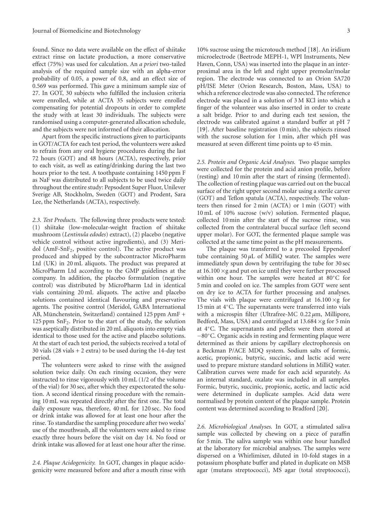found. Since no data were available on the effect of shiitake extract rinse on lactate production, a more conservative effect (75%) was used for calculation. An *a priori* two-tailed analysis of the required sample size with an alpha-error probability of 0.05, a power of 0.8, and an effect size of 0.569 was performed. This gave a minimum sample size of 27. In GOT, 30 subjects who fulfilled the inclusion criteria were enrolled, while at ACTA 35 subjects were enrolled compensating for potential dropouts in order to complete the study with at least 30 individuals. The subjects were randomised using a computer-generated allocation schedule, and the subjects were not informed of their allocation.

Apart from the specific instructions given to participants in GOT/ACTA for each test period, the volunteers were asked to refrain from any oral hygiene procedures during the last 72 hours (GOT) and 48 hours (ACTA), respectively, prior to each visit, as well as eating/drinking during the last two hours prior to the test. A toothpaste containing 1450 ppm F as NaF was distributed to all subjects to be used twice daily throughout the entire study: Pepsodent Super Fluor, Unilever Sverige AB, Stockholm, Sweden (GOT) and Prodent, Sara Lee, the Netherlands (ACTA), respectively.

*2.3. Test Products.* The following three products were tested: (1) shiitake (low-molecular-weight fraction of shiitake mushroom (*Lentinula edodes*) extract), (2) placebo (negative vehicle control without active ingredients), and (3) Meridol (AmF-SnF2, positive control). The active product was produced and shipped by the subcontractor MicroPharm Ltd (UK) in 20 mL aliquots. The product was prepared at MicroPharm Ltd according to the GMP guidelines at the company. In addition, the placebo formulation (negative control) was distributed by MicroPharm Ltd in identical vials containing 20 mL aliquots. The active and placebo solutions contained identical flavouring and preservative agents. The positive control (Meridol, GABA International AB, Münchenstein, Switzerland) contained 125 ppm AmF + 125 ppm  $SnF<sub>2</sub>$ . Prior to the start of the study, the solution was aseptically distributed in 20 mL aliquots into empty vials identical to those used for the active and placebo solutions. At the start of each test period, the subjects received a total of 30 vials  $(28 \text{ vials} + 2 \text{ extra})$  to be used during the 14-day test period.

The volunteers were asked to rinse with the assigned solution twice daily. On each rinsing occasion, they were instructed to rinse vigorously with 10 mL (1/2 of the volume of the vial) for 30 sec, after which they expectorated the solution. A second identical rinsing procedure with the remaining 10 mL was repeated directly after the first one. The total daily exposure was, therefore, 40 mL for 120 sec. No food or drink intake was allowed for at least one hour after the rinse. To standardise the sampling procedure after two weeks' use of the mouthwash, all the volunteers were asked to rinse exactly three hours before the visit on day 14. No food or drink intake was allowed for at least one hour after the rinse.

*2.4. Plaque Acidogenicity.* In GOT, changes in plaque acidogenicity were measured before and after a mouth rinse with 10% sucrose using the microtouch method [\[18\]](#page-8-15). An iridium microelectrode (Beetrode MEPH-1, WPI Instruments, New Haven, Conn, USA) was inserted into the plaque in an interproximal area in the left and right upper premolar/molar region. The electrode was connected to an Orion SA720 pH/ISE Meter (Orion Research, Boston, Mass, USA) to which a reference electrode was also connected. The reference electrode was placed in a solution of 3 M KCl into which a finger of the volunteer was also inserted in order to create a salt bridge. Prior to and during each test session, the electrode was calibrated against a standard buffer at pH 7 [\[19\]](#page-8-16). After baseline registration (0 min), the subjects rinsed with the sucrose solution for 1 min, after which pH was measured at seven different time points up to 45 min.

*2.5. Protein and Organic Acid Analyses.* Two plaque samples were collected for the protein and acid anion profile, before (resting) and 10 min after the start of rinsing (fermented). The collection of resting plaque was carried out on the buccal surface of the right upper second molar using a sterile carver (GOT) and Teflon spatula (ACTA), respectively. The volunteers then rinsed for 2 min (ACTA) or 1 min (GOT) with 10 mL of 10% sucrose (w/v) solution. Fermented plaque, collected 10 min after the start of the sucrose rinse, was collected from the contralateral buccal surface (left second upper molar). For GOT, the fermented plaque sample was collected at the same time point as the pH measurements.

The plaque was transferred to a precooled Eppendorf tube containing  $50 \mu L$  of MilliQ water. The samples were immediately spun down by centrifuging the tube for 30 sec at 16.100 ×g and put on ice until they were further processed within one hour. The samples were heated at 80◦C for 5 min and cooled on ice. The samples from GOT were sent on dry ice to ACTA for further processing and analyses. The vials with plaque were centrifuged at  $16.100 \times g$  for 15 min at 4◦C. The supernatants were transferred into vials with a microspin filter (Ultrafree-MC 0.22  $\mu$ m, Millipore, Bedford, Mass, USA) and centrifuged at  $13.684 \times g$  for 5 min at 4◦C. The supernatants and pellets were then stored at −80◦C. Organic acids in resting and fermenting plaque were determined as their anions by capillary electrophoresis on a Beckman P/ACE MDQ system. Sodium salts of formic, acetic, propionic, butyric, succinic, and lactic acid were used to prepare mixture standard solutions in MilliQ water. Calibration curves were made for each acid separately. As an internal standard, oxalate was included in all samples. Formic, butyric, succinic, propionic, acetic, and lactic acid were determined in duplicate samples. Acid data were normalised by protein content of the plaque sample. Protein content was determined according to Bradford [\[20\]](#page-8-17).

*2.6. Microbiological Analyses.* In GOT, a stimulated saliva sample was collected by chewing on a piece of paraffin for 5 min. The saliva sample was within one hour handled at the laboratory for microbial analyses. The samples were dispersed on a Whirlimixer, diluted in 10-fold stages in a potassium phosphate buffer and plated in duplicate on MSB agar (mutans streptococci), MS agar (total streptococci),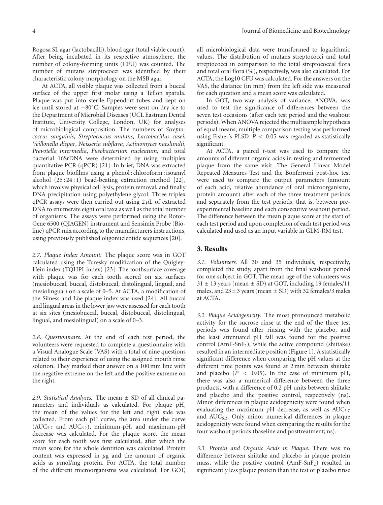Rogosa SL agar (lactobacilli), blood agar (total viable count). After being incubated in its respective atmosphere, the number of colony-forming units (CFU) was counted. The number of mutans streptococci was identified by their characteristic colony morphology on the MSB agar.

At ACTA, all visible plaque was collected from a buccal surface of the upper first molar using a Teflon spatula. Plaque was put into sterile Eppendorf tubes and kept on ice until stored at −80◦C. Samples were sent on dry ice to the Department of Microbial Diseases (UCL Eastman Dental Institute, University College, London, UK) for analyses of microbiological composition. The numbers of *Streptococcus sanguinis*, *Streptococcus mutans*, *Lactobacillus casei*, *Veillonella dispar*, *Neisseria subflava*, *Actinomyces naeslundii*, *Prevotella intermedia*, *Fusobacterium nucleatum,* and total bacterial 16SrDNA were determined by using multiplex quantitative PCR (qPCR) [\[21](#page-8-18)]. In brief, DNA was extracted from plaque biofilms using a phenol : chloroform : isoamyl alcohol  $(25:24:1)$  bead-beating extraction method  $[22]$ , which involves physical cell lysis, protein removal, and finally DNA precipitation using polyethylene glycol. Three triplex qPCR assays were then carried out using 2 *µ*L of extracted DNA to enumerate eight oral taxa as well as the total number of organisms. The assays were performed using the Rotor-Gene 6500 (QIAGEN) instrument and Sensimix Probe (Bioline) qPCR mix according to the manufacturers instructions, using previously published oligonucleotide sequences [\[20\]](#page-8-17).

*2.7. Plaque Index Amount.* The plaque score was in GOT calculated using the Turesky modification of the Quigley-Hein index (TQHPI-index) [\[23\]](#page-8-20). The toothsurface coverage with plaque was for each tooth scored on six surfaces (mesiobuccal, buccal, distobuccal, distolingual, lingual, and mesiolingual) on a scale of 0–5. At ACTA, a modification of the Silness and Löe plaque index was used [[24](#page-8-21)]. All buccal and lingual areas in the lower jaw were assessed for each tooth at six sites (mesiobuccal, buccal, distobuccal, distolingual, lingual, and mesiolingual) on a scale of 0–3.

*2.8. Questionnaire.* At the end of each test period, the volunteers were requested to complete a questionnaire with a Visual Analogue Scale (VAS) with a total of nine questions related to their experience of using the assigned mouth rinse solution. They marked their answer on a 100 mm line with the negative extreme on the left and the positive extreme on the right.

*2.9. Statistical Analyses.* The mean ± SD of all clinical parameters and individuals as calculated. For plaque pH, the mean of the values for the left and right side was collected. From each pH curve, the area under the curve (AUC5*.*<sup>7</sup> and AUC6*.*2), minimum-pH, and maximum-pH decrease was calculated. For the plaque score, the mean score for each tooth was first calculated, after which the mean score for the whole dentition was calculated. Protein content was expressed in *µ*g and the amount of organic acids as *µ*mol/mg protein. For ACTA, the total number of the different microorganisms was calculated. For GOT,

all microbiological data were transformed to logarithmic values. The distribution of mutans streptococci and total streptococci in comparison to the total streptococcal flora and total oral flora (%), respectively, was also calculated. For ACTA, the Log10 CFU was calculated. For the answers on the VAS, the distance (in mm) from the left side was measured for each question and a mean score was calculated.

In GOT, two-way analysis of variance, ANOVA, was used to test the significance of differences between the seven test occasions (after each test period and the washout periods). When ANOVA rejected the multisample hypothesis of equal means, multiple comparison testing was performed using Fisher's PLSD. *P <* 0*.*05 was regarded as statistically significant.

At ACTA, a paired *t*-test was used to compare the amounts of different organic acids in resting and fermented plaque from the same visit. The General Linear Model Repeated Measures Test and the Bonferroni post-hoc test were used to compare the output parameters (amount of each acid, relative abundance of oral microorganisms, protein amount) after each of the three treatment periods and separately from the test periods, that is, between preexperimental baseline and each consecutive washout period. The difference between the mean plaque score at the start of each test period and upon completion of each test period was calculated and used as an input variable in GLM-RM test.

#### **3. Results**

*3.1. Volunteers.* All 30 and 35 individuals, respectively, completed the study, apart from the final washout period for one subject in GOT. The mean age of the volunteers was  $31 \pm 13$  years (mean  $\pm$  SD) at GOT, including 19 females/11 males, and  $23 \pm 3$  years (mean  $\pm$  SD) with 32 females/3 males at ACTA.

*3.2. Plaque Acidogenicity.* The most pronounced metabolic activity for the sucrose rinse at the end of the three test periods was found after rinsing with the placebo, and the least attenuated pH fall was found for the positive control ( $AmF-SnF_2$ ), while the active compound (shiitake) resulted in an intermediate position [\(Figure 1\)](#page-4-0). A statistically significant difference when comparing the pH values at the different time points was found at 2 min between shiitake and placebo (*P <* 0*.*05). In the case of minimum pH, there was also a numerical difference between the three products, with a difference of 0.2 pH units between shiitake and placebo and the positive control, respectively (ns). Minor differences in plaque acidogenicity were found when evaluating the maximum pH decrease, as well as AUC<sub>5.7</sub> and AUC6*.*2. Only minor numerical differences in plaque acidogenicity were found when comparing the results for the four washout periods (baseline and posttreatment; ns).

*3.3. Protein and Organic Acids in Plaque.* There was no difference between shiitake and placebo in plaque protein mass, while the positive control  $(AmF-SnF_2)$  resulted in significantly less plaque protein than the test or placebo rinse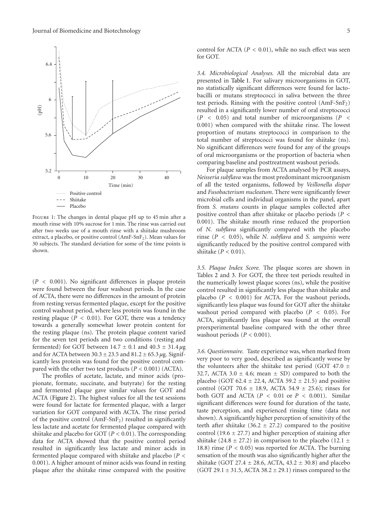

<span id="page-4-0"></span>Figure 1: The changes in dental plaque pH up to 45 min after a mouth rinse with 10% sucrose for 1 min. The rinse was carried out after two weeks use of a mouth rinse with a shiitake mushroom extract, a placebo, or positive control  $(AmF-SnF<sub>2</sub>)$ . Mean values for 30 subjects. The standard deviation for some of the time points is shown.

(*P <* 0*.*001). No significant differences in plaque protein were found between the four washout periods. In the case of ACTA, there were no differences in the amount of protein from resting versus fermented plaque, except for the positive control washout period, where less protein was found in the resting plaque (*P <* 0*.*01). For GOT, there was a tendency towards a generally somewhat lower protein content for the resting plaque (ns). The protein plaque content varied for the seven test periods and two conditions (resting and fermented) for GOT between  $14.7 \pm 0.1$  and  $40.3 \pm 31.4 \,\mu$ g and for ACTA between 30*.*3±23*.*5 and 81*.*2±65*.*<sup>3</sup> *<sup>µ</sup>*g. Significantly less protein was found for the positive control compared with the other two test products (*P <* 0*.*001) (ACTA).

The profiles of acetate, lactate, and minor acids (propionate, formate, succinate, and butyrate) for the resting and fermented plaque gave similar values for GOT and ACTA [\(Figure 2\)](#page-5-0). The highest values for all the test sessions were found for lactate for fermented plaque, with a larger variation for GOT compared with ACTA. The rinse period of the positive control  $(AmF-SnF_2)$  resulted in significantly less lactate and acetate for fermented plaque compared with shiitake and placebo for GOT (*P <* 0*.*01). The corresponding data for ACTA showed that the positive control period resulted in significantly less lactate and minor acids in fermented plaque compared with shiitake and placebo (*P <* 0*.*001). A higher amount of minor acids was found in resting plaque after the shiitake rinse compared with the positive control for ACTA (*P <* 0*.*01), while no such effect was seen for GOT.

*3.4. Microbiological Analyses.* All the microbial data are presented in [Table 1.](#page-6-0) For salivary microorganisms in GOT, no statistically significant differences were found for lactobacilli or mutans streptococci in saliva between the three test periods. Rinsing with the positive control (AmF-SnF2) resulted in a significantly lower number of oral streptococci (*P <* 0*.*05) and total number of microorganisms (*P <* 0*.*001) when compared with the shiitake rinse. The lowest proportion of mutans streptococci in comparison to the total number of streptococci was found for shiitake (ns). No significant differences were found for any of the groups of oral microorganisms or the proportion of bacteria when comparing baseline and posttreatment washout periods.

For plaque samples from ACTA analysed by PCR assays, *Neisseria subflava* was the most predominant microorganism of all the tested organisms, followed by *Veillonella dispar* and *Fusobacterium nucleatum*. There were significantly fewer microbial cells and individual organisms in the panel, apart from *S. mutans* counts in plaque samples collected after positive control than after shiitake or placebo periods (*P <* 0*.*001). The shiitake mouth rinse reduced the proportion of *N. subflava* significantly compared with the placebo rinse (*P <* 0*.*05), while *N. subflava* and *S. sanguinis* were significantly reduced by the positive control compared with shiitake (*P <* 0*.*01).

*3.5. Plaque Index Score.* The plaque scores are shown in Tables [2](#page-6-1) and [3.](#page-6-2) For GOT, the three test periods resulted in the numerically lowest plaque scores (ns), while the positive control resulted in significantly less plaque than shiitake and placebo (*P <* 0*.*001) for ACTA. For the washout periods, significantly less plaque was found for GOT after the shiitake washout period compared with placebo (*P <* 0*.*05). For ACTA, significantly less plaque was found at the overall preexperimental baseline compared with the other three washout periods (*P <* 0*.*001).

*3.6. Questionnaire.* Taste experience was, when marked from very poor to very good, described as significantly worse by the volunteers after the shiitake test period (GOT 47.0  $\pm$ 32.7, ACTA  $3.0 \pm 4.6$ ; mean  $\pm$  SD) compared to both the placebo (GOT 62*.*<sup>4</sup> <sup>±</sup> <sup>22</sup>*.*4, ACTA 59*.*<sup>2</sup> <sup>±</sup> <sup>21</sup>*.*5) and positive control (GOT 70*.*<sup>6</sup> <sup>±</sup> <sup>18</sup>*.*9, ACTA 54*.*<sup>9</sup> <sup>±</sup> <sup>25</sup>*.*6); rinses for both GOT and ACTA (*P <* 0*.*01 or *P <* 0*.*001). Similar significant differences were found for duration of the taste, taste perception, and experienced rinsing time (data not shown). A significantly higher perception of sensitivity of the teeth after shiitake  $(36.2 \pm 27.2)$  compared to the positive control (19.6  $\pm$  27.7) and higher perception of staining after shiitake  $(24.8 \pm 27.2)$  in comparison to the placebo  $(12.1 \pm 12.2)$ 18*.*8) rinse (*P <* 0*.*05) was reported for ACTA. The burning sensation of the mouth was also significantly higher after the shiitake (GOT 27*.*<sup>4</sup> <sup>±</sup> <sup>28</sup>*.*6, ACTA, 43*.*<sup>2</sup> <sup>±</sup> <sup>30</sup>*.*8) and placebo (GOT 29*.*<sup>1</sup> <sup>±</sup> <sup>31</sup>*.*5, ACTA 38*.*<sup>2</sup> <sup>±</sup> <sup>29</sup>*.*1) rinses compared to the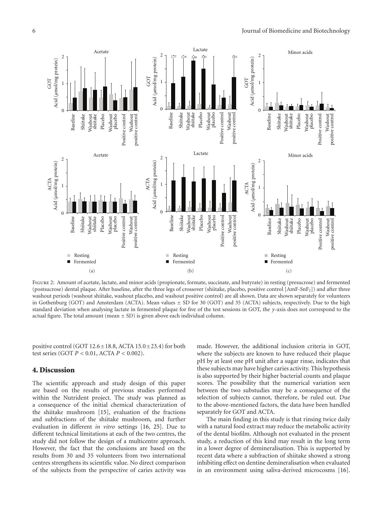

<span id="page-5-0"></span>FIGURE 2: Amount of acetate, lactate, and minor acids (propionate, formate, succinate, and butyrate) in resting (presucrose) and fermented (postsucrose) dental plaque. After baseline, after the three legs of crossover (shiitake, placebo, positive control [AmF-SnF<sub>2</sub>]) and after three washout periods (washout shiitake, washout placebo, and washout positive control) are all shown. Data are shown separately for volunteers in Gothenburg (GOT) and Amsterdam (ACTA). Mean values  $\pm$  SD for 30 (GOT) and 35 (ACTA) subjects, respectively. Due to the high standard deviation when analysing lactate in fermented plaque for five of the test sessions in GOT, the *y*-axis does not correspond to the actual figure. The total amount (mean  $\pm$  SD) is given above each individual column.

positive control (GOT 12*.*6±18*.*8, ACTA 15*.*0±23*.*4) for both test series (GOT *P <* 0*.*01, ACTA *P <* 0*.*002).

#### **4. Discussion**

The scientific approach and study design of this paper are based on the results of previous studies performed within the Nutrident project. The study was planned as a consequence of the initial chemical characterization of the shiitake mushroom [\[15\]](#page-8-12), evaluation of the fractions and subfractions of the shiitake mushroom, and further evaluation in different *in vitro* settings [\[16](#page-8-13), [25](#page-8-22)]. Due to different technical limitations at each of the two centres, the study did not follow the design of a multicentre approach. However, the fact that the conclusions are based on the results from 30 and 35 volunteers from two international centres strengthens its scientific value. No direct comparison of the subjects from the perspective of caries activity was made. However, the additional inclusion criteria in GOT, where the subjects are known to have reduced their plaque pH by at least one pH unit after a sugar rinse, indicates that these subjects may have higher caries activity. This hypothesis is also supported by their higher bacterial counts and plaque scores. The possibility that the numerical variation seen between the two substudies may be a consequence of the selection of subjects cannot, therefore, be ruled out. Due to the above-mentioned factors, the data have been handled separately for GOT and ACTA.

The main finding in this study is that rinsing twice daily with a natural food extract may reduce the metabolic activity of the dental biofilm. Although not evaluated in the present study, a reduction of this kind may result in the long term in a lower degree of demineralisation. This is supported by recent data where a subfraction of shiitake showed a strong inhibiting effect on dentine demineralisation when evaluated in an environment using saliva-derived microcosms [\[16\]](#page-8-13).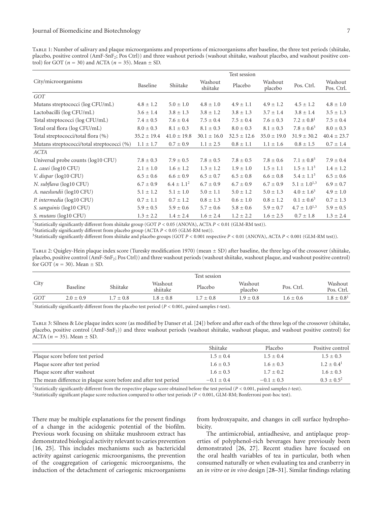<span id="page-6-0"></span>Table 1: Number of salivary and plaque microorganisms and proportions of microorganisms after baseline, the three test periods (shiitake, placebo, positive control (AmF-SnF2; Pos Ctrl)) and three washout periods (washout shiitake, washout placebo, and washout positive control) for GOT ( $n = 30$ ) and ACTA ( $n = 35$ ). Mean  $\pm$  SD.

| Test session    |                                            |                     |                 |                    |                     |                       |
|-----------------|--------------------------------------------|---------------------|-----------------|--------------------|---------------------|-----------------------|
| Baseline        | Shiitake                                   | Washout<br>shiitake | Placebo         | Washout<br>placebo | Pos. Ctrl.          | Washout<br>Pos. Ctrl. |
|                 |                                            |                     |                 |                    |                     |                       |
| $4.8 \pm 1.2$   | $5.0 \pm 1.0$                              | $4.8 \pm 1.0$       | $4.9 \pm 1.1$   | $4.9 \pm 1.2$      | $4.5 \pm 1.2$       | $4.8 \pm 1.0$         |
| $3.6 \pm 1.4$   | $3.8 \pm 1.3$                              | $3.8 \pm 1.2$       | $3.8 \pm 1.3$   | $3.7 \pm 1.4$      | $3.8 \pm 1.4$       | $3.5 \pm 1.3$         |
| $7.4 \pm 0.5$   | $7.6 \pm 0.4$                              | $7.5 \pm 0.4$       | $7.5 \pm 0.4$   | $7.6 \pm 0.3$      | $7.2 \pm 0.8^1$     | $7.5 \pm 0.4$         |
| $8.0 \pm 0.3$   | $8.1 \pm 0.3$                              | $8.1 \pm 0.3$       | $8.0 \pm 0.3$   | $8.1 \pm 0.3$      | $7.8 \pm 0.6^3$     | $8.0 \pm 0.3$         |
| $35.2 \pm 19.4$ | $41.0 \pm 19.8$                            | $30.1 \pm 16.0$     | $32.5 \pm 12.6$ | $35.0 \pm 19.0$    | $31.9 \pm 30.2$     | $40.4 \pm 23.7$       |
| $1.1 \pm 1.7$   | $0.7 \pm 0.9$                              | $1.1 \pm 2.5$       | $0.8 \pm 1.1$   | $1.1 \pm 1.6$      | $0.8 \pm 1.5$       | $0.7 \pm 1.4$         |
|                 |                                            |                     |                 |                    |                     |                       |
| $7.8 \pm 0.3$   | $7.9 \pm 0.5$                              | $7.8 \pm 0.5$       | $7.8 \pm 0.5$   | $7.8 \pm 0.6$      | $7.1 \pm 0.8^3$     | $7.9 \pm 0.4$         |
| $2.1 \pm 1.0$   | $1.6 \pm 1.2$                              | $1.3 \pm 1.2$       | $1.9 \pm 1.0$   | $1.5 \pm 1.1$      | $1.5 \pm 1.1^3$     | $1.4 \pm 1.2$         |
| $6.5 \pm 0.6$   | $6.6 \pm 0.9$                              | $6.5 \pm 0.7$       | $6.5 \pm 0.8$   | $6.6 \pm 0.8$      | $5.4 \pm 1.1^3$     | $6.5 \pm 0.6$         |
| $6.7 \pm 0.9$   | $6.4 \pm 1.1^2$                            | $6.7 \pm 0.9$       | $6.7 \pm 0.9$   | $6.7 \pm 0.9$      | $5.1 \pm 1.0^{1,3}$ | $6.9 \pm 0.7$         |
| $5.1 \pm 1.2$   | $5.1 \pm 1.0$                              | $5.0 \pm 1.1$       | $5.0 \pm 1.2$   | $5.0 \pm 1.3$      | $4.0 \pm 1.6^3$     | $4.9 \pm 1.0$         |
| $0.7 \pm 1.1$   | $0.7 \pm 1.2$                              | $0.8 \pm 1.3$       | $0.6 \pm 1.0$   | $0.8 \pm 1.2$      | $0.1 \pm 0.6^3$     | $0.7 \pm 1.3$         |
| $5.9 \pm 0.5$   | $5.9 \pm 0.6$                              | $5.7 \pm 0.6$       | $5.8 \pm 0.6$   | $5.9 \pm 0.7$      | $4.7 \pm 1.0^{1,3}$ | $5.9 \pm 0.5$         |
| $1.3 \pm 2.2$   | $1.4 \pm 2.4$                              | $1.6 \pm 2.4$       | $1.2 \pm 2.2$   | $1.6 \pm 2.5$      | $0.7 \pm 1.8$       | $1.3 \pm 2.4$         |
|                 | Mutans streptococci/total streptococci (%) |                     |                 |                    |                     |                       |

1 Statistically significantly different from shiitake group (GOT *P <* 0*.*05 (ANOVA), ACTA *P <* 0*.*01 (GLM-RM test)).

2Statistically significantly different from placebo group (ACTA *P <* 0*.*05 (GLM-RM test)).

3Statistically significantly different from shiitake and placebo groups (GOT *P <* 0*.*001 respective *P <* 0*.*01 (ANOVA), ACTA *P <* 0*.*001 (GLM-RM test)).

<span id="page-6-1"></span>TABLE 2: Quigley-Hein plaque index score (Turesky modification 1970) (mean  $\pm$  SD) after baseline, the three legs of the crossover (shiitake, placebo, positive control (AmF-SnF2; Pos Ctrl)) and three washout periods (washout shiitake, washout plaque, and washout positive control) for GOT  $(n = 30)$ . Mean  $\pm$  SD.

|      |             | Test session  |                     |             |                    |               |                       |  |
|------|-------------|---------------|---------------------|-------------|--------------------|---------------|-----------------------|--|
| City | Baseline    | Shiitake      | Washout<br>shiitake | Placebo     | Washout<br>placebo | Pos. Ctrl.    | Washout<br>Pos. Ctrl. |  |
| GOT  | $2.0 + 0.9$ | $1.7 \pm 0.8$ | $1.8 \pm 0.8$       | $1.7 + 0.8$ | $1.9 \pm 0.8$      | $1.6 \pm 0.6$ | $1.8 \pm 0.8^1$       |  |

1 Statistically significantly different from the placebo test period (*P <* 0*.*001, paired samples *t*-test).

<span id="page-6-2"></span>TABLE 3: Silness & Löe plaque index score (as modified by Danser et al. [[24\]](#page-8-21)) before and after each of the three legs of the crossover (shiitake, placebo, positive control (AmF-SnF2)) and three washout periods (washout shiitake, washout plaque, and washout positive control) for ACTA  $(n = 35)$ . Mean  $\pm$  SD.

|                                                                  | Shiitake      | Placebo       | Positive control |
|------------------------------------------------------------------|---------------|---------------|------------------|
| Plaque score before test period                                  | $1.5 \pm 0.4$ | $1.5 + 0.4$   | $1.5 \pm 0.3$    |
| Plaque score after test period                                   | $1.6 \pm 0.3$ | $1.6 \pm 0.3$ | $1.2 + 0.41$     |
| Plaque score after washout                                       | $1.6 \pm 0.3$ | $1.7 + 0.2$   | $1.6 \pm 0.3$    |
| The mean difference in plaque score before and after test period | $-0.1 + 0.4$  | $-0.1 + 0.3$  | $0.3 + 0.5^2$    |

1 Statistically significantly different from the respective plaque score obtained before the test period (*P <* 0*.*001, paired samples *t*-test).

2Statistically significant plaque score reduction compared to other test periods (*P <* 0*.*001, GLM-RM; Bonferroni post-hoc test).

There may be multiple explanations for the present findings of a change in the acidogenic potential of the biofilm. Previous work focusing on shiitake mushroom extract has demonstrated biological activity relevant to caries prevention [\[16,](#page-8-13) [25](#page-8-22)]. This includes mechanisms such as bactericidal activity against cariogenic microorganisms, the prevention of the coaggregation of cariogenic microorganisms, the induction of the detachment of cariogenic microorganisms from hydroxyapaite, and changes in cell surface hydrophobicity.

The antimicrobial, antiadhesive, and antiplaque properties of polyphenol-rich beverages have previously been demonstrated [\[26,](#page-8-23) [27\]](#page-8-24). Recent studies have focused on the oral health variables of tea in particular, both when consumed naturally or when evaluating tea and cranberry in an *in vitro* or *in vivo* design [\[28](#page-8-25)[–31](#page-8-26)]. Similar findings relating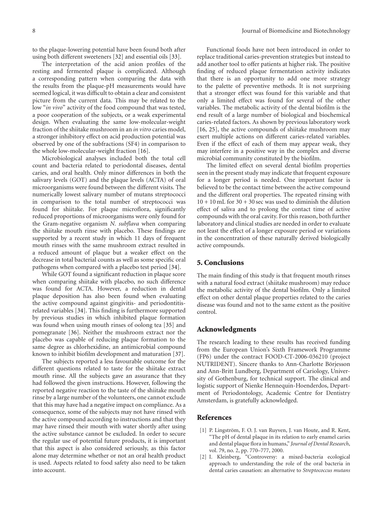to the plaque-lowering potential have been found both after using both different sweeteners [\[32\]](#page-8-27) and essential oils [\[33](#page-8-28)].

The interpretation of the acid anion profiles of the resting and fermented plaque is complicated. Although a corresponding pattern when comparing the data with the results from the plaque-pH measurements would have seemed logical, it was difficult to obtain a clear and consistent picture from the current data. This may be related to the low "*in vivo*" activity of the food compound that was tested, a poor cooperation of the subjects, or a weak experimental design. When evaluating the same low-molecular-weight fraction of the shiitake mushroom in an *in vitro* caries model, a stronger inhibitory effect on acid production potential was observed by one of the subfractions (SF4) in comparison to the whole low-molecular-weight fraction [\[16](#page-8-13)].

Microbiological analyses included both the total cell count and bacteria related to periodontal diseases, dental caries, and oral health. Only minor differences in both the salivary levels (GOT) and the plaque levels (ACTA) of oral microorganisms were found between the different visits. The numerically lowest salivary number of mutans streptococci in comparison to the total number of streptococci was found for shiitake. For plaque microflora, significantly reduced proportions of microorganisms were only found for the Gram-negative organism *N. subflava* when comparing the shiitake mouth rinse with placebo. These findings are supported by a recent study in which 11 days of frequent mouth rinses with the same mushroom extract resulted in a reduced amount of plaque but a weaker effect on the decrease in total bacterial counts as well as some specific oral pathogens when compared with a placebo test period [\[34\]](#page-8-29).

While GOT found a significant reduction in plaque score when comparing shiitake with placebo, no such difference was found for ACTA. However, a reduction in dental plaque deposition has also been found when evaluating the active compound against gingivitis- and periodontitisrelated variables [\[34\]](#page-8-29). This finding is furthermore supported by previous studies in which inhibited plaque formation was found when using mouth rinses of oolong tea [\[35](#page-9-0)] and pomegranate [\[36](#page-9-1)]. Neither the mushroom extract nor the placebo was capable of reducing plaque formation to the same degree as chlorhexidine, an antimicrobial compound known to inhibit biofilm development and maturation [\[37\]](#page-9-2).

The subjects reported a less favourable outcome for the different questions related to taste for the shiitake extract mouth rinse. All the subjects gave an assurance that they had followed the given instructions. However, following the reported negative reaction to the taste of the shiitake mouth rinse by a large number of the volunteers, one cannot exclude that this may have had a negative impact on compliance. As a consequence, some of the subjects may not have rinsed with the active compound according to instructions and that they may have rinsed their mouth with water shortly after using the active substance cannot be excluded. In order to secure the regular use of potential future products, it is important that this aspect is also considered seriously, as this factor alone may determine whether or not an oral health product is used. Aspects related to food safety also need to be taken into account.

Functional foods have not been introduced in order to replace traditional caries-prevention strategies but instead to add another tool to offer patients at higher risk. The positive finding of reduced plaque fermentation activity indicates that there is an opportunity to add one more strategy to the palette of preventive methods. It is not surprising that a stronger effect was found for this variable and that only a limited effect was found for several of the other variables. The metabolic activity of the dental biofilm is the end result of a large number of biological and biochemical caries-related factors. As shown by previous laboratory work [\[16,](#page-8-13) [25](#page-8-22)], the active compounds of shiitake mushroom may exert multiple actions on different caries-related variables. Even if the effect of each of them may appear weak, they may interfere in a positive way in the complex and diverse microbial community constituted by the biofilm.

The limited effect on several dental biofilm properties seen in the present study may indicate that frequent exposure for a longer period is needed. One important factor is believed to be the contact time between the active compound and the different oral properties. The repeated rinsing with  $10 + 10$  mL for  $30 + 30$  sec was used to diminish the dilution effect of saliva and to prolong the contact time of active compounds with the oral cavity. For this reason, both further laboratory and clinical studies are needed in order to evaluate not least the effect of a longer exposure period or variations in the concentration of these naturally derived biologically active compounds.

#### **5. Conclusions**

The main finding of this study is that frequent mouth rinses with a natural food extract (shiitake mushroom) may reduce the metabolic activity of the dental biofilm. Only a limited effect on other dental plaque properties related to the caries disease was found and not to the same extent as the positive control.

#### **Acknowledgments**

The research leading to these results has received funding from the European Union's Sixth Framework Programme (FP6) under the contract FOOD-CT-2006-036210 (project NUTRIDENT). Sincere thanks to Ann-Charlotte Börjesson and Ann-Britt Lundberg, Department of Cariology, University of Gothenburg, for technical support. The clinical and logistic support of Nienke Hennequin-Hoenderdos, Department of Periodontology, Academic Centre for Dentistry Amsterdam, is gratefully acknowledged.

### <span id="page-7-0"></span>**References**

- <span id="page-7-1"></span>[1] P. Lingström, F. O. J. van Ruyven, J. van Houte, and R. Kent, "The pH of dental plaque in its relation to early enamel caries and dental plaque flora in humans," *Journal of Dental Research*, vol. 79, no. 2, pp. 770–777, 2000.
- [2] I. Kleinberg, "Controversy: a mixed-bacteria ecological approach to understanding the role of the oral bacteria in dental caries causation: an alternative to *Streptococcus mutans*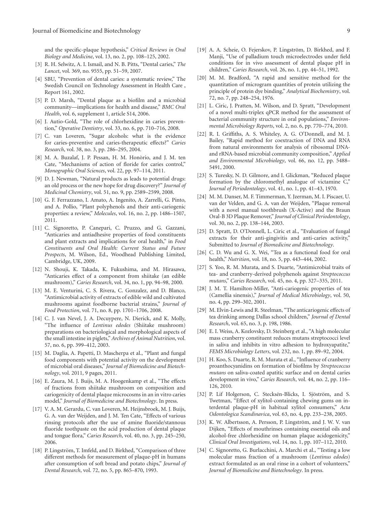and the specific-plaque hypothesis," *Critical Reviews in Oral Biology and Medicine*, vol. 13, no. 2, pp. 108–125, 2002.

- <span id="page-8-0"></span>[3] R. H. Selwitz, A. I. Ismail, and N. B. Pitts, "Dental caries," *The Lancet*, vol. 369, no. 9555, pp. 51–59, 2007.
- <span id="page-8-1"></span>[4] SBU, "Prevention of dental caries: a systematic review," The Swedish Council on Technology Assessment in Health Care , Report 161, 2002.
- <span id="page-8-2"></span>[5] P. D. Marsh, "Dental plaque as a biofilm and a microbial community—implications for health and disease," *BMC Oral Health*, vol. 6, supplement 1, article S14, 2006.
- <span id="page-8-3"></span>[6] J. Autio-Gold, "The role of chlorhexidine in caries prevention," *Operative Dentistry*, vol. 33, no. 6, pp. 710–716, 2008.
- <span id="page-8-4"></span>[7] C. van Loveren, "Sugar alcohols: what is the evidence for caries-preventive and caries-therapeutic effects?" *Caries Research*, vol. 38, no. 3, pp. 286–295, 2004.
- <span id="page-8-5"></span>[8] M. A. Buzalaf, J. P. Pessan, H. M. Honòrio, and J. M. ten Cate, "Mechanisms of action of floride for caries control," *Monographic Oral Sciences*, vol. 22, pp. 97–114, 2011.
- <span id="page-8-6"></span>[9] D. J. Newman, "Natural products as leads to potential drugs: an old process or the new hope for drug discovery?" *Journal of Medicinal Chemistry*, vol. 51, no. 9, pp. 2589–2599, 2008.
- <span id="page-8-7"></span>[10] G. F. Ferrazzano, I. Amato, A. Ingenito, A. Zarrelli, G. Pinto, and A. Pollio, "Plant polyphenols and their anti-cariogenic properties: a review," *Molecules*, vol. 16, no. 2, pp. 1486–1507, 2011.
- <span id="page-8-8"></span>[11] C. Signoretto, P. Canepari, C. Pruzzo, and G. Gazzani, "Anticaries and antiadhesive properties of food constituents and plant extracts and implications for oral health," in *Food Constituents and Oral Health: Current Status and Future Prospects*, M. Wilson, Ed., Woodhead Publishing Limited, Cambridge, UK, 2009.
- <span id="page-8-9"></span>[12] N. Shouji, K. Takada, K. Fukushima, and M. Hirasawa, "Anticaries effect of a component from shiitake (an edible mushroom)," *Caries Research*, vol. 34, no. 1, pp. 94–98, 2000.
- <span id="page-8-10"></span>[13] M. E. Venturini, C. S. Rivera, C. Gonzalez, and D. Blanco, "Antimicrobial activity of extracts of edible wild and cultivated mushrooms against foodborne bacterial strains," *Journal of Food Protection*, vol. 71, no. 8, pp. 1701–1706, 2008.
- <span id="page-8-11"></span>[14] C. J. van Nevel, J. A. Decuypere, N. Dierick, and K. Molly, "The influence of *Lentinus edodes* (Shiitake mushroom) preparations on bacteriological and morphological aspects of the small intestine in piglets," *Archives of Animal Nutrition*, vol. 57, no. 6, pp. 399–412, 2003.
- <span id="page-8-12"></span>[15] M. Daglia, A. Papetti, D. Mascherpa et al., "Plant and fungal food components with potential activity on the development of microbial oral diseases," *Journal of Biomedicine and Biotechnology*, vol. 2011, 9 pages, 2011.
- <span id="page-8-13"></span>[16] E. Zaura, M. J. Buijs, M. A. Hoogenkamp et al., "The effects of fractions from shiitake mushroom on composition and cariogenicity of dental plaque microcosms in an in vitro caries model," *Journal of Biomedicine and Biotechnology*. In press.
- <span id="page-8-14"></span>[17] V. A. M. Gerardu, C. van Loveren, M. Heijnsbroek, M. J. Buijs, G. A. van der Weijden, and J. M. Ten Cate, "Effects of various rinsing protocols after the use of amine fluoride/stannous fluoride toothpaste on the acid production of dental plaque and tongue flora," *Caries Research*, vol. 40, no. 3, pp. 245–250, 2006.
- <span id="page-8-15"></span>[18] P. Lingström, T. Imfeld, and D. Birkhed, "Comparison of three different methods for measurement of plaque-pH in humans after consumption of soft bread and potato chips," *Journal of Dental Research*, vol. 72, no. 5, pp. 865–870, 1993.
- <span id="page-8-16"></span>[19] A. A. Scheie, O. Fejerskov, P. Lingström, D. Birkhed, and F. Manji, "Use of palladium touch microelectrodes under field conditions for in vivo assessment of dental plaque pH in children," *Caries Research*, vol. 26, no. 1, pp. 44–51, 1992.
- <span id="page-8-17"></span>[20] M. M. Bradford, "A rapid and sensitive method for the quantitation of microgram quantities of protein utilizing the principle of protein dye binding," *Analytical Biochemistry*, vol. 72, no. 7, pp. 248–254, 1976.
- <span id="page-8-18"></span>[21] L. Ciric, J. Pratten, M. Wilson, and D. Spratt, "Development of a novel multi-triplex qPCR method for the assessment of bacterial community structure in oral populations," *Environmental Microbiology Reports*, vol. 2, no. 6, pp. 770–774, 2010.
- <span id="page-8-19"></span>[22] R. I. Griffiths, A. S. Whiteley, A. G. O'Donnell, and M. J. Bailey, "Rapid method for coextraction of DNA and RNA from natural environments for analysis of ribosomal DNAand rRNA-based microbial community composition," *Applied and Environmental Microbiology*, vol. 66, no. 12, pp. 5488– 5491, 2000.
- <span id="page-8-20"></span>[23] S. Turesky, N. D. Gilmore, and I. Glickman, "Reduced plaque formation by the chloromethyl analogue of victamine C, *Journal of Periodontology*, vol. 41, no. 1, pp. 41–43, 1970.
- <span id="page-8-21"></span>[24] M. M. Danser, M. F. Timmerman, Y. Jzerman, M. I. Piscaer, U. van der Velden, and G. A. van der Weijden, "Plaque removal with a novel manual toothbrush (X-Active) and the Braun Oral-B 3D Plaque Remover," *Journal of Clinical Periodontology*, vol. 30, no. 2, pp. 138–144, 2003.
- <span id="page-8-22"></span>[25] D. Spratt, D. O'Donnell, L. Ciric et al., "Evaluation of fungal extracts for their anti-gingivitis and anti-caries activity," Submitted to *Journal of Biomedicine and Biotechnology*.
- <span id="page-8-23"></span>[26] C. D. Wu and G. X. Wei, "Tea as a functional food for oral health," *Nutrition*, vol. 18, no. 5, pp. 443–444, 2002.
- <span id="page-8-24"></span>[27] S. Yoo, R. M. Murata, and S. Duarte, "Antimicrobial traits of tea- and cranberry-derived polyphenols against *Streptococcus mutans*," *Caries Research*, vol. 45, no. 4, pp. 327–335, 2011.
- <span id="page-8-25"></span>[28] J. M. T. Hamilton-Miller, "Anti-cariogenic properties of tea (Camellia sinensis)," *Journal of Medical Microbiology*, vol. 50, no. 4, pp. 299–302, 2001.
- [29] M. Elvin-Lewis and R. Steelman, "The anticariogenic effects of tea drinking among Dallas school children," *Journal of Dental Research*, vol. 65, no. 3, p. 198, 1986.
- [30] E. I. Weiss, A. Kozlovsky, D. Steinberg et al., "A high molecular mass cranberry constituent reduces mutans streptococci level in saliva and inhibits in vitro adhesion to hydroxyapatite," *FEMS Microbiology Letters*, vol. 232, no. 1, pp. 89–92, 2004.
- <span id="page-8-26"></span>[31] H. Koo, S. Duarte, R. M. Murata et al., "Influence of cranberry proanthocyanidins on formation of biofilms by *Streptococcus mutans* on saliva-coated apatitic surface and on dental caries development in vivo," *Caries Research*, vol. 44, no. 2, pp. 116– 126, 2010.
- <span id="page-8-27"></span>[32] P. Lif Holgerson, C. Stecksén-Blicks, I. Sjöström, and S. Twetman, "Effect of xylitol-containing chewing gums on interdental plaque-pH in habitual xylitol consumers," *Acta Odontologica Scandinavica*, vol. 63, no. 4, pp. 233–238, 2005.
- <span id="page-8-28"></span>[33] K. W. Albertsson, A. Persson, P. Lingström, and J. W. V. van Dijken, "Effects of mouthrinses containing essential oils and alcohol-free chlorhexidine on human plaque acidogenicity," *Clinical Oral Investigations*, vol. 14, no. 1, pp. 107–112, 2010.
- <span id="page-8-29"></span>[34] C. Signoretto, G. Burlacchini, A. Marchi et al., "Testing a low molecular mass fraction of a mushroom (*Lentinus edodes*) extract formulated as an oral rinse in a cohort of volunteers," *Journal of Biomedicine and Biotechnology*. In press.